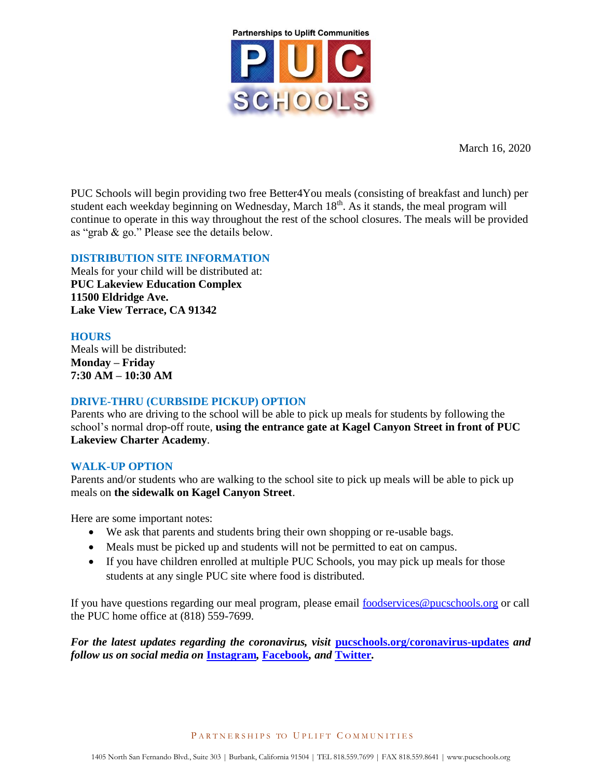

March 16, 2020

PUC Schools will begin providing two free Better4You meals (consisting of breakfast and lunch) per student each weekday beginning on Wednesday, March  $18<sup>th</sup>$ . As it stands, the meal program will continue to operate in this way throughout the rest of the school closures. The meals will be provided as "grab & go." Please see the details below.

## **DISTRIBUTION SITE INFORMATION**

Meals for your child will be distributed at: **PUC Lakeview Education Complex 11500 Eldridge Ave. Lake View Terrace, CA 91342**

# **HOURS**

Meals will be distributed: **Monday – Friday 7:30 AM – 10:30 AM**

# **DRIVE-THRU (CURBSIDE PICKUP) OPTION**

Parents who are driving to the school will be able to pick up meals for students by following the school's normal drop-off route, **using the entrance gate at Kagel Canyon Street in front of PUC Lakeview Charter Academy**.

# **WALK-UP OPTION**

Parents and/or students who are walking to the school site to pick up meals will be able to pick up meals on **the sidewalk on Kagel Canyon Street**.

Here are some important notes:

- We ask that parents and students bring their own shopping or re-usable bags.
- Meals must be picked up and students will not be permitted to eat on campus.
- If you have children enrolled at multiple PUC Schools, you may pick up meals for those students at any single PUC site where food is distributed.

If you have questions regarding our meal program, please email [foodservices@pucschools.org](mailto:foodservices@pucschools.org) or call the PUC home office at (818) 559-7699.

*For the latest updates regarding the coronavirus, visit* **[pucschools.org/coronavirus-updates](http://www.pucschools.org/coronavirus-updates/)** *and follow us on social media on* **[Instagram](http://www.instragram.com/pucschoolsofficial)***,* **[Facebook](http://www.facebook.com/pucschools)***, and* **[Twitter](http://www.twitter.com/pucschools)***.*